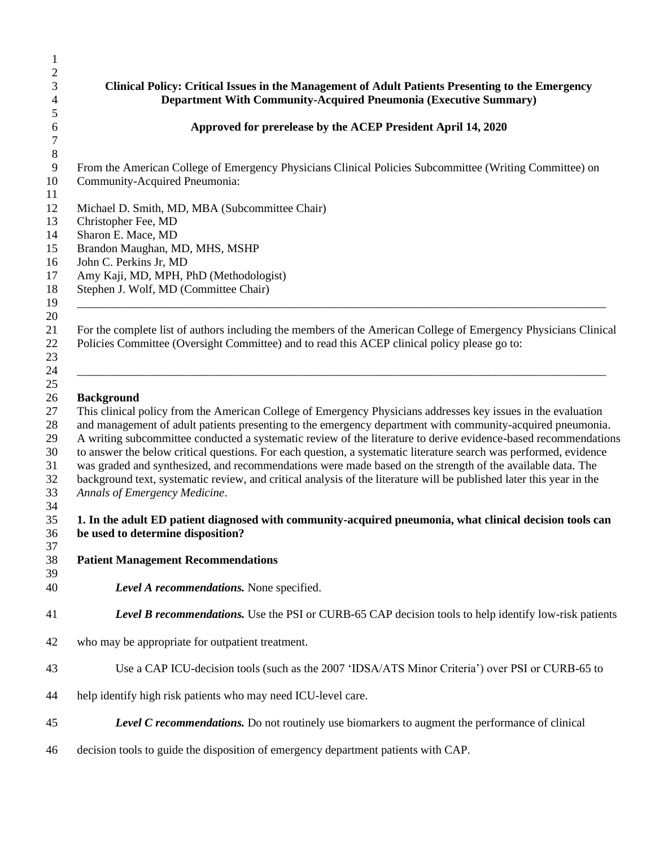## **Clinical Policy: Critical Issues in the Management of Adult Patients Presenting to the Emergency Department With Community-Acquired Pneumonia (Executive Summary) Approved for prerelease by the ACEP President April 14, 2020** From the American College of Emergency Physicians Clinical Policies Subcommittee (Writing Committee) on Community-Acquired Pneumonia: Michael D. Smith, MD, MBA (Subcommittee Chair) Christopher Fee, MD Sharon E. Mace, MD Brandon Maughan, MD, MHS, MSHP John C. Perkins Jr, MD Amy Kaji, MD, MPH, PhD (Methodologist) Stephen J. Wolf, MD (Committee Chair) \_\_\_\_\_\_\_\_\_\_\_\_\_\_\_\_\_\_\_\_\_\_\_\_\_\_\_\_\_\_\_\_\_\_\_\_\_\_\_\_\_\_\_\_\_\_\_\_\_\_\_\_\_\_\_\_\_\_\_\_\_\_\_\_\_\_\_\_\_\_\_\_\_\_\_\_\_\_\_\_\_\_\_\_\_\_\_\_\_\_ For the complete list of authors including the members of the American College of Emergency Physicians Clinical Policies Committee (Oversight Committee) and to read this ACEP clinical policy please go to: \_\_\_\_\_\_\_\_\_\_\_\_\_\_\_\_\_\_\_\_\_\_\_\_\_\_\_\_\_\_\_\_\_\_\_\_\_\_\_\_\_\_\_\_\_\_\_\_\_\_\_\_\_\_\_\_\_\_\_\_\_\_\_\_\_\_\_\_\_\_\_\_\_\_\_\_\_\_\_\_\_\_\_\_\_\_\_\_\_\_ **Background** This clinical policy from the American College of Emergency Physicians addresses key issues in the evaluation and management of adult patients presenting to the emergency department with community-acquired pneumonia. A writing subcommittee conducted a systematic review of the literature to derive evidence-based recommendations to answer the below critical questions. For each question, a systematic literature search was performed, evidence was graded and synthesized, and recommendations were made based on the strength of the available data. The background text, systematic review, and critical analysis of the literature will be published later this year in the *Annals of Emergency Medicine*. **1. In the adult ED patient diagnosed with community-acquired pneumonia, what clinical decision tools can be used to determine disposition? Patient Management Recommendations** *Level A recommendations.* None specified. *Level B recommendations.* Use the PSI or CURB-65 CAP decision tools to help identify low-risk patients who may be appropriate for outpatient treatment. Use a CAP ICU-decision tools (such as the 2007 'IDSA/ATS Minor Criteria') over PSI or CURB-65 to help identify high risk patients who may need ICU-level care. *Level C recommendations.* Do not routinely use biomarkers to augment the performance of clinical decision tools to guide the disposition of emergency department patients with CAP.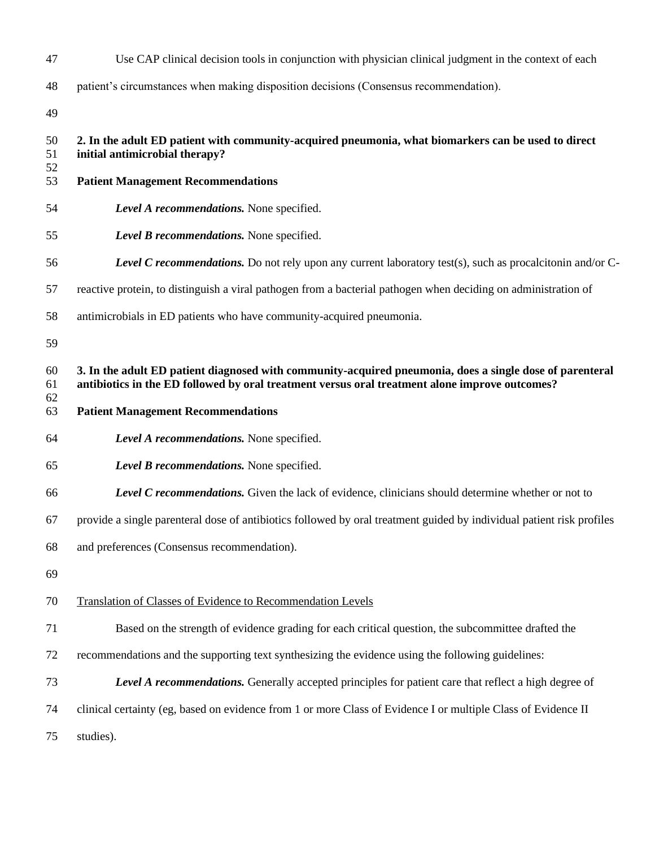| 47             | Use CAP clinical decision tools in conjunction with physician clinical judgment in the context of each                                                                                                     |
|----------------|------------------------------------------------------------------------------------------------------------------------------------------------------------------------------------------------------------|
| 48             | patient's circumstances when making disposition decisions (Consensus recommendation).                                                                                                                      |
| 49             |                                                                                                                                                                                                            |
| 50<br>51<br>52 | 2. In the adult ED patient with community-acquired pneumonia, what biomarkers can be used to direct<br>initial antimicrobial therapy?                                                                      |
| 53             | <b>Patient Management Recommendations</b>                                                                                                                                                                  |
| 54             | Level A recommendations. None specified.                                                                                                                                                                   |
| 55             | Level B recommendations. None specified.                                                                                                                                                                   |
| 56             | <b>Level C recommendations.</b> Do not rely upon any current laboratory test(s), such as procalcitonin and/or C-                                                                                           |
| 57             | reactive protein, to distinguish a viral pathogen from a bacterial pathogen when deciding on administration of                                                                                             |
| 58             | antimicrobials in ED patients who have community-acquired pneumonia.                                                                                                                                       |
| 59             |                                                                                                                                                                                                            |
| 60<br>61<br>62 | 3. In the adult ED patient diagnosed with community-acquired pneumonia, does a single dose of parenteral<br>antibiotics in the ED followed by oral treatment versus oral treatment alone improve outcomes? |
|                |                                                                                                                                                                                                            |
| 63             | <b>Patient Management Recommendations</b>                                                                                                                                                                  |
| 64             | Level A recommendations. None specified.                                                                                                                                                                   |
| 65             | Level B recommendations. None specified.                                                                                                                                                                   |
| 66             | <b>Level C recommendations.</b> Given the lack of evidence, clinicians should determine whether or not to                                                                                                  |
| 67             | provide a single parenteral dose of antibiotics followed by oral treatment guided by individual patient risk profiles                                                                                      |
| 68             | and preferences (Consensus recommendation).                                                                                                                                                                |
| 69             |                                                                                                                                                                                                            |
| 70             | Translation of Classes of Evidence to Recommendation Levels                                                                                                                                                |
| 71             | Based on the strength of evidence grading for each critical question, the subcommittee drafted the                                                                                                         |
| 72             | recommendations and the supporting text synthesizing the evidence using the following guidelines:                                                                                                          |
| 73             | <b>Level A recommendations.</b> Generally accepted principles for patient care that reflect a high degree of                                                                                               |
| 74             | clinical certainty (eg, based on evidence from 1 or more Class of Evidence I or multiple Class of Evidence II                                                                                              |